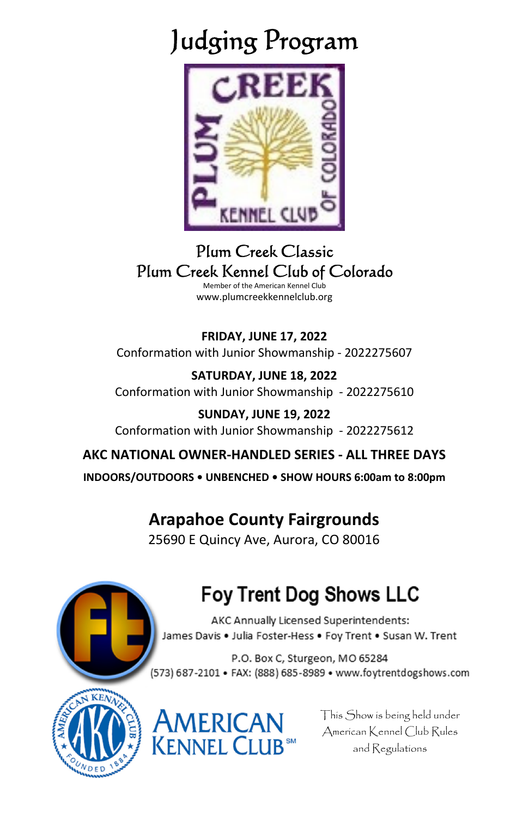## Judging Program



## Plum Creek Classic Plum Creek Kennel Club of Colorado

Member of the American Kennel Club www.plumcreekkennelclub.org

**FRIDAY, JUNE 17, 2022**  Conformation with Junior Showmanship - 2022275607

**SATURDAY, JUNE 18, 2022**  Conformation with Junior Showmanship - 2022275610

**SUNDAY, JUNE 19, 2022**  Conformation with Junior Showmanship - 2022275612

**AKC NATIONAL OWNER-HANDLED SERIES - ALL THREE DAYS INDOORS/OUTDOORS • UNBENCHED • SHOW HOURS 6:00am to 8:00pm**

## **Arapahoe County Fairgrounds**

25690 E Quincy Ave, Aurora, CO 80016



## **Foy Trent Dog Shows LLC**

AKC Annually Licensed Superintendents: James Davis . Julia Foster-Hess . Foy Trent . Susan W. Trent

P.O. Box C, Sturgeon, MO 65284 (573) 687-2101 • FAX: (888) 685-8989 • www.foytrentdogshows.com





This Show is being held under American Kennel Club Rules and Regulations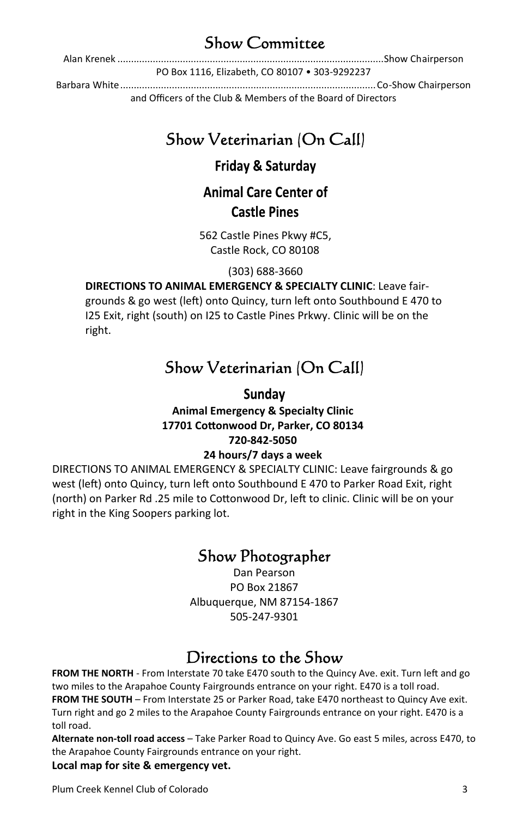## Show Committee

Alan Krenek .................................................................................................. Show Chairperson

PO Box 1116, Elizabeth, CO 80107 • 303-9292237

Barbara White .............................................................................................. Co-Show Chairperson and Officers of the Club & Members of the Board of Directors

## Show Veterinarian (On Call)

## Friday & Saturday

## **Animal Care Center of Castle Pines**

562 Castle Pines Pkwy #C5, Castle Rock, CO 80108

(303) 688-3660

## **DIRECTIONS TO ANIMAL EMERGENCY & SPECIALTY CLINIC**: Leave fair-

grounds & go west (left) onto Quincy, turn left onto Southbound E 470 to I25 Exit, right (south) on I25 to Castle Pines Prkwy. Clinic will be on the right.

## Show Veterinarian (On Call)

## Sunday **Animal Emergency & Specialty Clinic 17701 CoƩonwood Dr, Parker, CO 80134 720-842-5050**

## **24 hours/7 days a week**

DIRECTIONS TO ANIMAL EMERGENCY & SPECIALTY CLINIC: Leave fairgrounds & go west (left) onto Quincy, turn left onto Southbound E 470 to Parker Road Exit, right (north) on Parker Rd .25 mile to Cottonwood Dr, left to clinic. Clinic will be on your right in the King Soopers parking lot.

## Show Photographer

Dan Pearson PO Box 21867 Albuquerque, NM 87154-1867 505-247-9301

## Directions to the Show

FROM THE NORTH - From Interstate 70 take E470 south to the Quincy Ave. exit. Turn left and go two miles to the Arapahoe County Fairgrounds entrance on your right. E470 is a toll road. **FROM THE SOUTH** – From Interstate 25 or Parker Road, take E470 northeast to Quincy Ave exit. Turn right and go 2 miles to the Arapahoe County Fairgrounds entrance on your right. E470 is a toll road.

**Alternate non-toll road access** – Take Parker Road to Quincy Ave. Go east 5 miles, across E470, to the Arapahoe County Fairgrounds entrance on your right.

## **Local map for site & emergency vet.**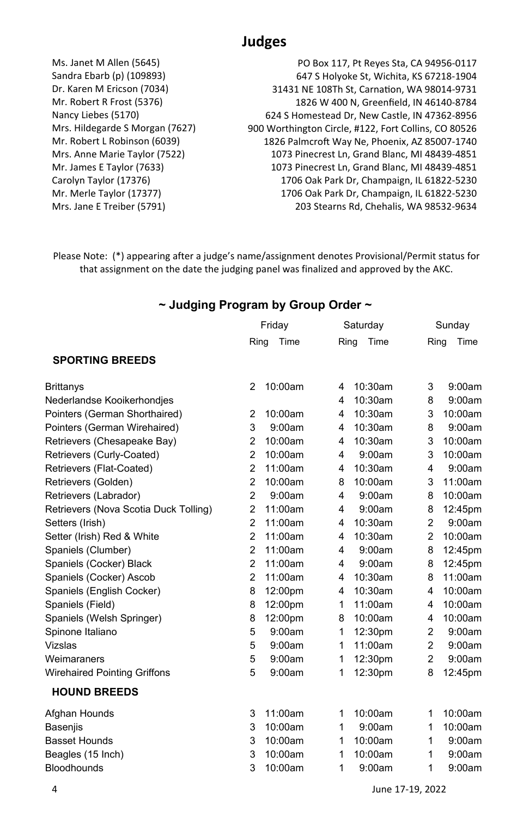## **Judges**

Ms. Janet M Allen (5645) Sandra Ebarb (p) (109893) Dr. Karen M Ericson (7034) Mr. Robert R Frost (5376) Nancy Liebes (5170) Mrs. Hildegarde S Morgan (7627) Mr. Robert L Robinson (6039) Mrs. Anne Marie Taylor (7522) Mr. James E Taylor (7633) Carolyn Taylor (17376) Mr. Merle Taylor (17377) Mrs. Jane E Treiber (5791)

PO Box 117, Pt Reyes Sta, CA 94956-0117 647 S Holyoke St, Wichita, KS 67218-1904 31431 NE 108Th St, Carnation, WA 98014-9731 1826 W 400 N, Greenfield, IN 46140-8784 624 S Homestead Dr, New Castle, IN 47362-8956 900 Worthington Circle, #122, Fort Collins, CO 80526 1826 Palmcroft Way Ne, Phoenix, AZ 85007-1740 1073 Pinecrest Ln, Grand Blanc, MI 48439-4851 1073 Pinecrest Ln, Grand Blanc, MI 48439-4851 1706 Oak Park Dr, Champaign, IL 61822-5230 1706 Oak Park Dr, Champaign, IL 61822-5230 203 Stearns Rd, Chehalis, WA 98532-9634

Please Note: (\*) appearing after a judge's name/assignment denotes Provisional/Permit status for that assignment on the date the judging panel was finalized and approved by the AKC.

### **~ Judging Program by Group Order ~**

|                                       | Friday         |         | Saturday |         |                | Sunday  |  |
|---------------------------------------|----------------|---------|----------|---------|----------------|---------|--|
|                                       | Ring           | Time    | Ring     | Time    | Ring           | Time    |  |
| <b>SPORTING BREEDS</b>                |                |         |          |         |                |         |  |
| <b>Brittanys</b>                      | $\overline{2}$ | 10:00am | 4        | 10:30am | 3              | 9:00am  |  |
| Nederlandse Kooikerhondjes            |                |         | 4        | 10:30am | 8              | 9:00am  |  |
| Pointers (German Shorthaired)         | $\overline{2}$ | 10:00am | 4        | 10:30am | 3              | 10:00am |  |
| Pointers (German Wirehaired)          | 3              | 9:00am  | 4        | 10:30am | 8              | 9:00am  |  |
| Retrievers (Chesapeake Bay)           | $\overline{2}$ | 10:00am | 4        | 10:30am | 3              | 10:00am |  |
| Retrievers (Curly-Coated)             | $\overline{2}$ | 10:00am | 4        | 9:00am  | 3              | 10:00am |  |
| Retrievers (Flat-Coated)              | $\overline{2}$ | 11:00am | 4        | 10:30am | 4              | 9:00am  |  |
| Retrievers (Golden)                   | $\overline{2}$ | 10:00am | 8        | 10:00am | 3              | 11:00am |  |
| Retrievers (Labrador)                 | $\overline{2}$ | 9:00am  | 4        | 9:00am  | 8              | 10:00am |  |
| Retrievers (Nova Scotia Duck Tolling) | $\overline{2}$ | 11:00am | 4        | 9:00am  | 8              | 12:45pm |  |
| Setters (Irish)                       | $\overline{2}$ | 11:00am | 4        | 10:30am | $\overline{2}$ | 9:00am  |  |
| Setter (Irish) Red & White            | $\overline{2}$ | 11:00am | 4        | 10:30am | $\overline{2}$ | 10:00am |  |
| Spaniels (Clumber)                    | $\overline{2}$ | 11:00am | 4        | 9:00am  | 8              | 12:45pm |  |
| Spaniels (Cocker) Black               | $\overline{2}$ | 11:00am | 4        | 9:00am  | 8              | 12:45pm |  |
| Spaniels (Cocker) Ascob               | $\overline{2}$ | 11:00am | 4        | 10:30am | 8              | 11:00am |  |
| Spaniels (English Cocker)             | 8              | 12:00pm | 4        | 10:30am | 4              | 10:00am |  |
| Spaniels (Field)                      | 8              | 12:00pm | 1        | 11:00am | 4              | 10:00am |  |
| Spaniels (Welsh Springer)             | 8              | 12:00pm | 8        | 10:00am | 4              | 10:00am |  |
| Spinone Italiano                      | 5              | 9:00am  | 1        | 12:30pm | $\overline{2}$ | 9:00am  |  |
| Vizslas                               | 5              | 9:00am  | 1        | 11:00am | $\overline{2}$ | 9:00am  |  |
| Weimaraners                           | 5              | 9:00am  | 1        | 12:30pm | $\overline{2}$ | 9:00am  |  |
| <b>Wirehaired Pointing Griffons</b>   | 5              | 9:00am  | 1        | 12:30pm | 8              | 12:45pm |  |
| <b>HOUND BREEDS</b>                   |                |         |          |         |                |         |  |
| Afghan Hounds                         | 3              | 11:00am | 1        | 10:00am | 1              | 10:00am |  |
| <b>Basenjis</b>                       | 3              | 10:00am | 1        | 9:00am  | 1              | 10:00am |  |
| <b>Basset Hounds</b>                  | 3              | 10:00am | 1        | 10:00am | 1              | 9:00am  |  |
| Beagles (15 Inch)                     | 3              | 10:00am | 1        | 10:00am | 1              | 9:00am  |  |
| <b>Bloodhounds</b>                    | 3              | 10:00am | 1        | 9:00am  | 1              | 9:00am  |  |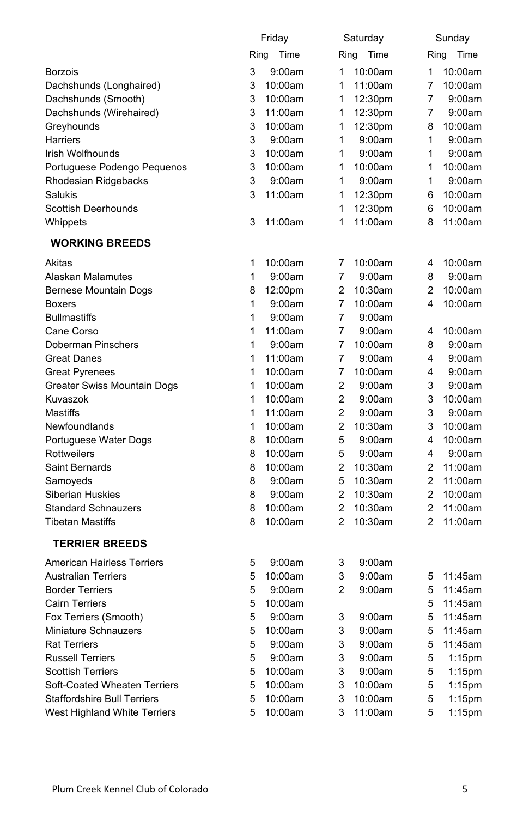|                                    |   | Friday       |                | Saturday |                | Sunday    |
|------------------------------------|---|--------------|----------------|----------|----------------|-----------|
|                                    |   | Ring<br>Time | Ring           | Time     | Ring           | Time      |
| <b>Borzois</b>                     | 3 | 9:00am       | 1              | 10:00am  | 1              | 10:00am   |
| Dachshunds (Longhaired)            | 3 | 10:00am      | 1              | 11:00am  | $\overline{7}$ | 10:00am   |
| Dachshunds (Smooth)                | 3 | 10:00am      | 1              | 12:30pm  | 7              | 9:00am    |
| Dachshunds (Wirehaired)            | 3 | 11:00am      | 1              | 12:30pm  | 7              | 9:00am    |
| Greyhounds                         | 3 | 10:00am      | 1              | 12:30pm  | 8              | 10:00am   |
| Harriers                           | 3 | 9:00am       | 1              | 9:00am   | 1              | 9:00am    |
| Irish Wolfhounds                   | 3 | 10:00am      | 1              | 9:00am   | 1              | 9:00am    |
| Portuguese Podengo Pequenos        | 3 | 10:00am      | 1              | 10:00am  | 1              | 10:00am   |
| Rhodesian Ridgebacks               | 3 | 9:00am       | 1              | 9:00am   | 1              | 9:00am    |
| Salukis                            | 3 | 11:00am      | 1              | 12:30pm  | 6              | 10:00am   |
| <b>Scottish Deerhounds</b>         |   |              | 1              | 12:30pm  | 6              | 10:00am   |
|                                    | 3 |              | 1              |          | 8              |           |
| Whippets                           |   | 11:00am      |                | 11:00am  |                | 11:00am   |
| <b>WORKING BREEDS</b>              |   |              |                |          |                |           |
| Akitas                             | 1 | 10:00am      | 7              | 10:00am  | 4              | 10:00am   |
| Alaskan Malamutes                  | 1 | 9:00am       | $\overline{7}$ | 9:00am   | 8              | 9:00am    |
| <b>Bernese Mountain Dogs</b>       | 8 | 12:00pm      | $\overline{2}$ | 10:30am  | $\overline{2}$ | 10:00am   |
| <b>Boxers</b>                      | 1 | 9:00am       | $\overline{7}$ | 10:00am  | 4              | 10:00am   |
| <b>Bullmastiffs</b>                | 1 | 9:00am       | 7              | 9:00am   |                |           |
| Cane Corso                         | 1 | 11:00am      | $\overline{7}$ | 9:00am   | 4              | 10:00am   |
| Doberman Pinschers                 | 1 | 9:00am       | 7              | 10:00am  | 8              | 9:00am    |
| <b>Great Danes</b>                 | 1 | 11:00am      | $\overline{7}$ | 9:00am   | 4              | 9:00am    |
| <b>Great Pyrenees</b>              | 1 | 10:00am      | 7              | 10:00am  | 4              | 9:00am    |
| Greater Swiss Mountain Dogs        | 1 | 10:00am      | 2              | 9:00am   | 3              | 9:00am    |
| Kuvaszok                           | 1 | 10:00am      | $\overline{2}$ | 9:00am   | 3              | 10:00am   |
| <b>Mastiffs</b>                    | 1 | 11:00am      | $\overline{2}$ | 9:00am   | 3              | 9:00am    |
| Newfoundlands                      | 1 | 10:00am      | 2              | 10:30am  | 3              | 10:00am   |
| Portuguese Water Dogs              | 8 | 10:00am      | 5              | 9:00am   | 4              | 10:00am   |
| Rottweilers                        | 8 | 10:00am      | 5              | 9:00am   | 4              | 9:00am    |
| Saint Bernards                     | 8 | 10:00am      | 2              | 10:30am  | $\overline{2}$ | 11:00am   |
| Samoyeds                           | 8 | 9:00am       | 5              | 10:30am  | $\overline{2}$ | 11:00am   |
| <b>Siberian Huskies</b>            | 8 | 9:00am       | $\overline{2}$ | 10:30am  | $\overline{2}$ | 10:00am   |
| <b>Standard Schnauzers</b>         | 8 | 10:00am      | $\overline{2}$ | 10:30am  | $\overline{2}$ | 11:00am   |
| <b>Tibetan Mastiffs</b>            | 8 | 10:00am      | $\overline{2}$ | 10:30am  | $\overline{2}$ | 11:00am   |
| <b>TERRIER BREEDS</b>              |   |              |                |          |                |           |
|                                    |   |              |                |          |                |           |
| <b>American Hairless Terriers</b>  | 5 | 9:00am       | 3              | 9:00am   |                |           |
| <b>Australian Terriers</b>         | 5 | 10:00am      | 3              | 9:00am   | 5              | 11:45am   |
| <b>Border Terriers</b>             | 5 | 9:00am       | 2              | 9:00am   | 5              | 11:45am   |
| <b>Cairn Terriers</b>              | 5 | 10:00am      |                |          | 5              | 11:45am   |
| Fox Terriers (Smooth)              | 5 | 9:00am       | 3              | 9:00am   | 5              | 11:45am   |
| Miniature Schnauzers               | 5 | 10:00am      | 3              | 9:00am   | 5              | 11:45am   |
| <b>Rat Terriers</b>                | 5 | 9:00am       | 3              | 9:00am   | 5              | 11:45am   |
| <b>Russell Terriers</b>            | 5 | 9:00am       | 3              | 9:00am   | 5              | $1:15$ pm |
| <b>Scottish Terriers</b>           | 5 | 10:00am      | 3              | 9:00am   | 5              | $1:15$ pm |
| Soft-Coated Wheaten Terriers       | 5 | 10:00am      | 3              | 10:00am  | 5              | $1:15$ pm |
| <b>Staffordshire Bull Terriers</b> | 5 | 10:00am      | 3              | 10:00am  | 5              | 1:15pm    |
| West Highland White Terriers       | 5 | 10:00am      | 3              | 11:00am  | 5              | 1:15pm    |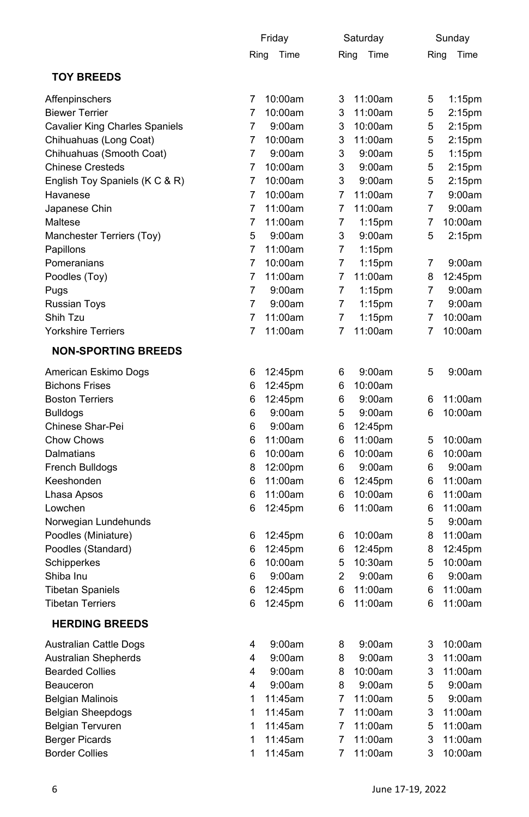|                                       |   | Friday       |      | Saturday  |      | Sunday             |
|---------------------------------------|---|--------------|------|-----------|------|--------------------|
|                                       |   | Ring<br>Time | Ring | Time      | Ring | Time               |
| <b>TOY BREEDS</b>                     |   |              |      |           |      |                    |
| Affenpinschers                        | 7 | 10:00am      | 3    | 11:00am   | 5    | $1:15$ pm          |
| <b>Biewer Terrier</b>                 | 7 | 10:00am      | 3    | 11:00am   | 5    | 2:15pm             |
| <b>Cavalier King Charles Spaniels</b> | 7 | 9:00am       | 3    | 10:00am   | 5    | 2:15 <sub>pm</sub> |
| Chihuahuas (Long Coat)                | 7 | 10:00am      | 3    | 11:00am   | 5    | 2:15 <sub>pm</sub> |
| Chihuahuas (Smooth Coat)              | 7 | 9:00am       | 3    | 9:00am    | 5    | $1:15$ pm          |
| <b>Chinese Cresteds</b>               | 7 | 10:00am      | 3    | 9:00am    | 5    | 2:15pm             |
| English Toy Spaniels (K C & R)        | 7 | 10:00am      | 3    | 9:00am    | 5    | $2:15$ pm          |
| Havanese                              | 7 | 10:00am      | 7    | 11:00am   | 7    | 9:00am             |
| Japanese Chin                         | 7 | 11:00am      | 7    | 11:00am   | 7    | 9:00am             |
| Maltese                               | 7 | 11:00am      | 7    | $1:15$ pm | 7    | 10:00am            |
| Manchester Terriers (Toy)             | 5 | 9:00am       | 3    | 9:00am    | 5    | 2:15pm             |
| Papillons                             | 7 | 11:00am      | 7    | $1:15$ pm |      |                    |
| Pomeranians                           | 7 | 10:00am      | 7    | $1:15$ pm | 7    | 9:00am             |
| Poodles (Toy)                         | 7 | 11:00am      | 7    | 11:00am   | 8    | 12:45pm            |
| Pugs                                  | 7 | 9:00am       | 7    | $1:15$ pm | 7    | 9:00am             |
| Russian Toys                          | 7 | 9:00am       | 7    | $1:15$ pm | 7    | 9:00am             |
| Shih Tzu                              | 7 | 11:00am      | 7    | $1:15$ pm | 7    | 10:00am            |
| <b>Yorkshire Terriers</b>             | 7 | 11:00am      | 7    | 11:00am   | 7    | 10:00am            |
| <b>NON-SPORTING BREEDS</b>            |   |              |      |           |      |                    |
| American Eskimo Dogs                  | 6 | 12:45pm      | 6    | 9:00am    | 5    | 9:00am             |
| <b>Bichons Frises</b>                 | 6 | 12:45pm      | 6    | 10:00am   |      |                    |
| <b>Boston Terriers</b>                | 6 | 12:45pm      | 6    | 9:00am    | 6    | 11:00am            |
| <b>Bulldogs</b>                       | 6 | 9:00am       | 5    | 9:00am    | 6    | 10:00am            |
| Chinese Shar-Pei                      | 6 | 9:00am       | 6    | 12:45pm   |      |                    |
| Chow Chows                            | 6 | 11:00am      | 6    | 11:00am   | 5    | 10:00am            |
| Dalmatians                            | 6 | 10:00am      | 6    | 10:00am   | 6    | 10:00am            |
| French Bulldogs                       | 8 | 12:00pm      | 6    | 9:00am    | 6    | 9:00am             |
| Keeshonden                            | 6 | 11:00am      | 6    | 12:45pm   | 6    | 11:00am            |
| Lhasa Apsos                           | 6 | 11:00am      | 6    | 10:00am   | 6    | 11:00am            |
| Lowchen                               | 6 | 12:45pm      | 6    | 11:00am   | 6    | 11:00am            |
| Norwegian Lundehunds                  |   |              |      |           | 5    | 9:00am             |
| Poodles (Miniature)                   | 6 | 12:45pm      | 6    | 10:00am   | 8    | 11:00am            |
| Poodles (Standard)                    | 6 | 12:45pm      | 6    | 12:45pm   | 8    | 12:45pm            |
| Schipperkes                           | 6 | 10:00am      | 5    | 10:30am   | 5    | 10:00am            |
| Shiba Inu                             | 6 | 9:00am       | 2    | 9:00am    | 6    | 9:00am             |
| <b>Tibetan Spaniels</b>               | 6 | 12:45pm      | 6    | 11:00am   | 6    | 11:00am            |
| <b>Tibetan Terriers</b>               | 6 | 12:45pm      | 6    | 11:00am   | 6    | 11:00am            |
| <b>HERDING BREEDS</b>                 |   |              |      |           |      |                    |
|                                       |   |              |      |           |      |                    |
| <b>Australian Cattle Dogs</b>         | 4 | 9:00am       | 8    | 9:00am    | 3    | 10:00am            |
| <b>Australian Shepherds</b>           | 4 | 9:00am       | 8    | 9:00am    | 3    | 11:00am            |
| <b>Bearded Collies</b>                | 4 | 9:00am       | 8    | 10:00am   | 3    | 11:00am            |
| Beauceron                             | 4 | 9:00am       | 8    | 9:00am    | 5    | 9:00am             |
| Belgian Malinois                      | 1 | 11:45am      | 7    | 11:00am   | 5    | 9:00am             |
| <b>Belgian Sheepdogs</b>              | 1 | 11:45am      | 7    | 11:00am   | 3    | 11:00am            |
| <b>Belgian Tervuren</b>               | 1 | 11:45am      | 7    | 11:00am   | 5    | 11:00am            |
| <b>Berger Picards</b>                 | 1 | 11:45am      | 7    | 11:00am   | 3    | 11:00am            |
| <b>Border Collies</b>                 | 1 | 11:45am      | 7    | 11:00am   | 3    | 10:00am            |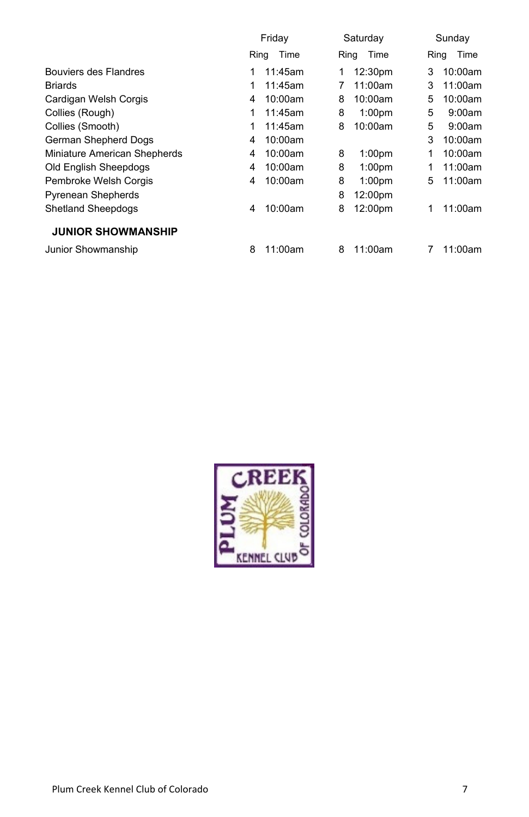|                              | Friday |         | Saturday |                    | Sunday |         |
|------------------------------|--------|---------|----------|--------------------|--------|---------|
|                              | Ring   | Time    | Ring     | Time               | Ring   | Time    |
| Bouviers des Flandres        | 1      | 11:45am | 1        | 12:30pm            | 3      | 10:00am |
| <b>Briards</b>               | 1      | 11:45am | 7        | 11:00am            | 3      | 11:00am |
| Cardigan Welsh Corgis        | 4      | 10:00am | 8        | 10:00am            | 5      | 10:00am |
| Collies (Rough)              | 1      | 11:45am | 8        | 1:00 <sub>pm</sub> | 5      | 9:00am  |
| Collies (Smooth)             | 1      | 11:45am | 8        | 10:00am            | 5      | 9:00am  |
| German Shepherd Dogs         | 4      | 10:00am |          |                    | 3      | 10:00am |
| Miniature American Shepherds | 4      | 10:00am | 8        | 1:00 <sub>pm</sub> | 1      | 10:00am |
| Old English Sheepdogs        | 4      | 10:00am | 8        | 1:00 <sub>pm</sub> | 1      | 11:00am |
| Pembroke Welsh Corgis        | 4      | 10:00am | 8        | 1:00 <sub>pm</sub> | 5      | 11:00am |
| <b>Pyrenean Shepherds</b>    |        |         | 8        | 12:00pm            |        |         |
| <b>Shetland Sheepdogs</b>    | 4      | 10:00am | 8        | 12:00pm            | 1      | 11:00am |
| <b>JUNIOR SHOWMANSHIP</b>    |        |         |          |                    |        |         |
| Junior Showmanship           | 8      | 11:00am | 8        | 11:00am            |        | 11:00am |

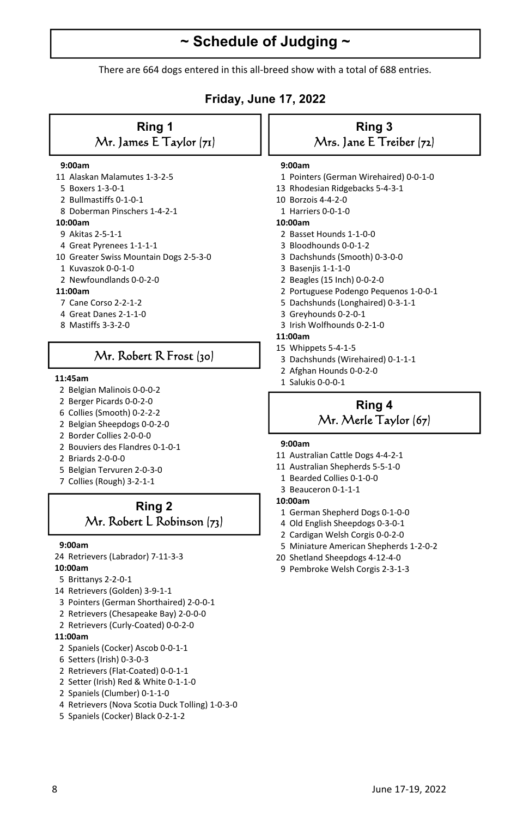## **~ Schedule of Judging ~**

There are 664 dogs entered in this all-breed show with a total of 688 entries.

## **Friday, June 17, 2022**

## **Ring 1**  Mr. James E Taylor (71)

#### **9:00am**

- 11 Alaskan Malamutes 1-3-2-5
- 5 Boxers 1-3-0-1
- 2 Bullmastiffs 0-1-0-1
- 8 Doberman Pinschers 1-4-2-1

#### **10:00am**

- 9 Akitas 2-5-1-1
- 4 Great Pyrenees 1-1-1-1
- 10 Greater Swiss Mountain Dogs 2-5-3-0
- 1 Kuvaszok 0-0-1-0
- 2 Newfoundlands 0-0-2-0

#### **11:00am**

- 7 Cane Corso 2-2-1-2
- 4 Great Danes 2-1-1-0
- 8 Mastiffs 3-3-2-0

## Mr. Robert R Frost (30)

- 2 Belgian Malinois 0-0-0-2
- 2 Berger Picards 0-0-2-0
- 6 Collies (Smooth) 0-2-2-2
- 2 Belgian Sheepdogs 0-0-2-0
- 2 Border Collies 2-0-0-0
- 2 Bouviers des Flandres 0-1-0-1
- 2 Briards 2-0-0-0
- 5 Belgian Tervuren 2-0-3-0
- 7 Collies (Rough) 3-2-1-1

## **Ring 2**  Mr. Robert L Robinson (73)

#### **9:00am**

- 24 Retrievers (Labrador) 7-11-3-3
- **10:00am**
- 5 Brittanys 2-2-0-1
- 14 Retrievers (Golden) 3-9-1-1
- 3 Pointers (German Shorthaired) 2-0-0-1
- 2 Retrievers (Chesapeake Bay) 2-0-0-0
- 2 Retrievers (Curly-Coated) 0-0-2-0

#### **11:00am**

- 2 Spaniels (Cocker) Ascob 0-0-1-1
- 6 Setters (Irish) 0-3-0-3
- 2 Retrievers (Flat-Coated) 0-0-1-1
- 2 Setter (Irish) Red & White 0-1-1-0
- 2 Spaniels (Clumber) 0-1-1-0
- 4 Retrievers (Nova Scotia Duck Tolling) 1-0-3-0
- 5 Spaniels (Cocker) Black 0-2-1-2

## **Ring 3**  Mrs. Jane E Treiber (72)

#### **9:00am**

- 1 Pointers (German Wirehaired) 0-0-1-0
- 13 Rhodesian Ridgebacks 5-4-3-1
- 10 Borzois 4-4-2-0
- 1 Harriers 0-0-1-0

#### **10:00am**

- 2 Basset Hounds 1-1-0-0
- 3 Bloodhounds 0-0-1-2
- 3 Dachshunds (Smooth) 0-3-0-0
- 3 Basenjis 1-1-1-0
- 2 Beagles (15 Inch) 0-0-2-0
- 2 Portuguese Podengo Pequenos 1-0-0-1
- 5 Dachshunds (Longhaired) 0-3-1-1
- 3 Greyhounds 0-2-0-1
- 3 Irish Wolfhounds 0-2-1-0
- **11:00am**
- 15 Whippets 5-4-1-5
- 3 Dachshunds (Wirehaired) 0-1-1-1
- 2 Afghan Hounds 0-0-2-0
- 1 Salukis 0-0-0-1 **11:45am**

## **Ring 4**  Mr. Merle Taylor (67)

#### **9:00am**

- 11 Australian Cattle Dogs 4-4-2-1
- 11 Australian Shepherds 5-5-1-0
- 1 Bearded Collies 0-1-0-0
- 3 Beauceron 0-1-1-1

#### **10:00am**

- 1 German Shepherd Dogs 0-1-0-0
- 4 Old English Sheepdogs 0-3-0-1
- 2 Cardigan Welsh Corgis 0-0-2-0
- 5 Miniature American Shepherds 1-2-0-2
- 20 Shetland Sheepdogs 4-12-4-0
- 9 Pembroke Welsh Corgis 2-3-1-3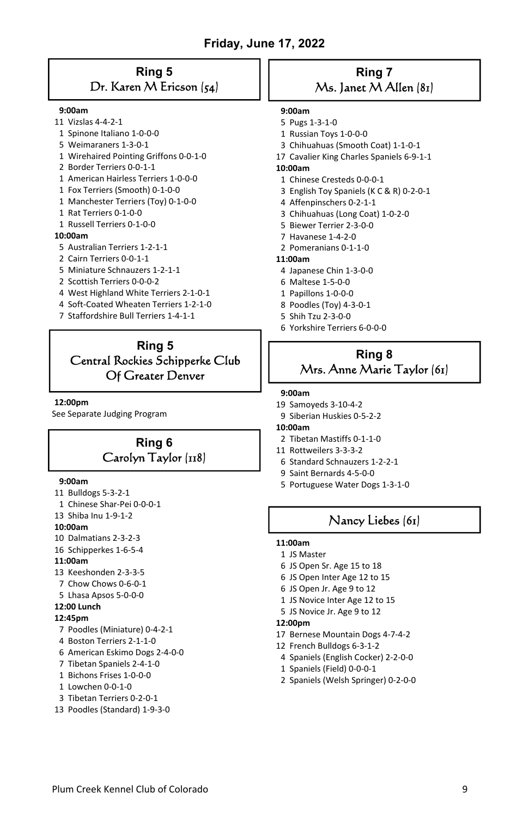## **Ring 5**  Dr. Karen M Ericson (54)

#### **9:00am**

- 11 Vizslas 4-4-2-1
- 1 Spinone Italiano 1-0-0-0
- 5 Weimaraners 1-3-0-1
- 1 Wirehaired Pointing Griffons 0-0-1-0
- 2 Border Terriers 0-0-1-1
- 1 American Hairless Terriers 1-0-0-0
- 1 Fox Terriers (Smooth) 0-1-0-0
- 1 Manchester Terriers (Toy) 0-1-0-0
- 1 Rat Terriers 0-1-0-0
- 1 Russell Terriers 0-1-0-0

#### **10:00am**

- 5 Australian Terriers 1-2-1-1
- 2 Cairn Terriers 0-0-1-1
- 5 Miniature Schnauzers 1-2-1-1
- 2 Scottish Terriers 0-0-0-2
- 4 West Highland White Terriers 2-1-0-1
- 4 Soft-Coated Wheaten Terriers 1-2-1-0
- 7 Staffordshire Bull Terriers 1-4-1-1

## **Ring 5**  Central Rockies Schipperke Club Of Greater Denver

#### **12:00pm**

See Separate Judging Program

## **Ring 6**  Carolyn Taylor (118)

#### **9:00am**

- 11 Bulldogs 5-3-2-1
- 1 Chinese Shar-Pei 0-0-0-1
- 13 Shiba Inu 1-9-1-2
- **10:00am**
- 10 Dalmatians 2-3-2-3
- 16 Schipperkes 1-6-5-4

#### **11:00am**

- 13 Keeshonden 2-3-3-5
- 7 Chow Chows 0-6-0-1
- 5 Lhasa Apsos 5-0-0-0

#### **12:00 Lunch**

#### **12:45pm**

- 7 Poodles (Miniature) 0-4-2-1
- 4 Boston Terriers 2-1-1-0
- 6 American Eskimo Dogs 2-4-0-0
- 7 Tibetan Spaniels 2-4-1-0
- 1 Bichons Frises 1-0-0-0
- 1 Lowchen 0-0-1-0
- 3 Tibetan Terriers 0-2-0-1
- 13 Poodles (Standard) 1-9-3-0

## **Ring 7**   $Ms.$  Janet  $M$  Allen (81)

#### **9:00am**

- 5 Pugs 1-3-1-0
- 1 Russian Toys 1-0-0-0
- 3 Chihuahuas (Smooth Coat) 1-1-0-1
- 17 Cavalier King Charles Spaniels 6-9-1-1
- **10:00am**
- 1 Chinese Cresteds 0-0-0-1
- 3 English Toy Spaniels (K C & R) 0-2-0-1
- 4 Affenpinschers 0-2-1-1
- 3 Chihuahuas (Long Coat) 1-0-2-0
- 5 Biewer Terrier 2-3-0-0
- 7 Havanese 1-4-2-0
- 2 Pomeranians 0-1-1-0

#### **11:00am**

- 4 Japanese Chin 1-3-0-0
- 6 Maltese 1-5-0-0
- 1 Papillons 1-0-0-0
- 8 Poodles (Toy) 4-3-0-1
- 5 Shih Tzu 2-3-0-0
- 6 Yorkshire Terriers 6-0-0-0

## **Ring 8**  Mrs. Anne Marie Taylor (61)

#### **9:00am**

- 19 Samoyeds 3-10-4-2
- 9 Siberian Huskies 0-5-2-2

#### **10:00am**

- 2 Tibetan Mastiffs 0-1-1-0
- 11 Rottweilers 3-3-3-2
- 6 Standard Schnauzers 1-2-2-1
- 9 Saint Bernards 4-5-0-0
- 5 Portuguese Water Dogs 1-3-1-0

## Nancy Liebes (61)

#### **11:00am**

- 1 JS Master
- 6 JS Open Sr. Age 15 to 18
- 6 JS Open Inter Age 12 to 15
- 6 JS Open Jr. Age 9 to 12
- 1 JS Novice Inter Age 12 to 15
- 5 JS Novice Jr. Age 9 to 12

#### **12:00pm**

- 17 Bernese Mountain Dogs 4-7-4-2
- 12 French Bulldogs 6-3-1-2
- 4 Spaniels (English Cocker) 2-2-0-0
- 1 Spaniels (Field) 0-0-0-1
- 2 Spaniels (Welsh Springer) 0-2-0-0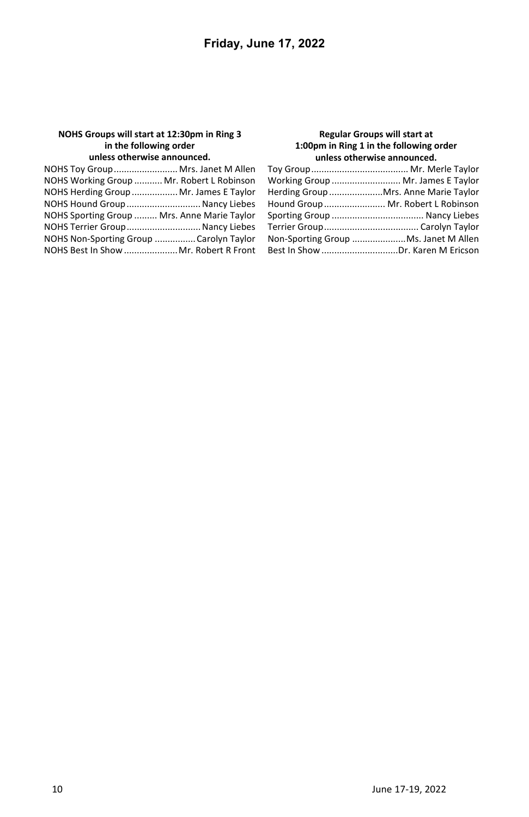#### **NOHS Groups will start at 12:30pm in Ring 3 in the following order unless otherwise announced.**

#### **Regular Groups will start at 1:00pm in Ring 1 in the following order unless otherwise announced.**

| NOHS Toy Group Mrs. Janet M Allen           |  |
|---------------------------------------------|--|
| NOHS Working Group  Mr. Robert L Robinson   |  |
| NOHS Herding Group  Mr. James E Taylor      |  |
| NOHS Hound Group  Nancy Liebes              |  |
| NOHS Sporting Group  Mrs. Anne Marie Taylor |  |
| NOHS Terrier Group Nancy Liebes             |  |
| NOHS Non-Sporting Group  Carolyn Taylor     |  |
| NOHS Best In Show  Mr. Robert R Front       |  |

| Working Group  Mr. James E Taylor    |
|--------------------------------------|
| Herding Group Mrs. Anne Marie Taylor |
| Hound Group Mr. Robert L Robinson    |
|                                      |
|                                      |
| Non-Sporting Group Ms. Janet M Allen |
| Best In Show Dr. Karen M Ericson     |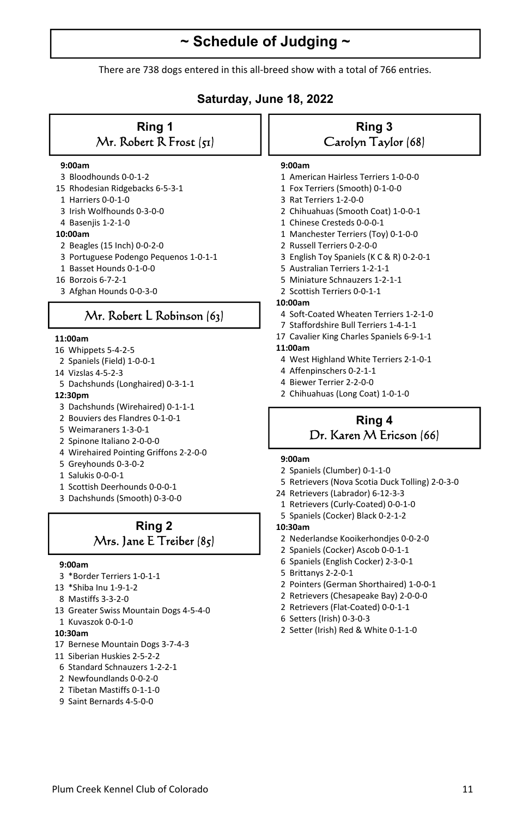## **~ Schedule of Judging ~**

There are 738 dogs entered in this all-breed show with a total of 766 entries.

## **Saturday, June 18, 2022**

### **Ring 1**  Mr. Robert R Frost (51)

#### **9:00am**

- 3 Bloodhounds 0-0-1-2
- 15 Rhodesian Ridgebacks 6-5-3-1
- 1 Harriers 0-0-1-0
- 3 Irish Wolfhounds 0-3-0-0
- 4 Basenjis 1-2-1-0

#### **10:00am**

- 2 Beagles (15 Inch) 0-0-2-0
- 3 Portuguese Podengo Pequenos 1-0-1-1
- 1 Basset Hounds 0-1-0-0
- 16 Borzois 6-7-2-1
- 3 Afghan Hounds 0-0-3-0

## Mr. Robert L Robinson (63)

#### **11:00am**

- 16 Whippets 5-4-2-5
- 2 Spaniels (Field) 1-0-0-1
- 14 Vizslas 4-5-2-3
- 5 Dachshunds (Longhaired) 0-3-1-1
- **12:30pm**
- 3 Dachshunds (Wirehaired) 0-1-1-1
- 2 Bouviers des Flandres 0-1-0-1
- 5 Weimaraners 1-3-0-1
- 2 Spinone Italiano 2-0-0-0
- 4 Wirehaired Pointing Griffons 2-2-0-0
- 5 Greyhounds 0-3-0-2
- 1 Salukis 0-0-0-1
- 1 Scottish Deerhounds 0-0-0-1
- 3 Dachshunds (Smooth) 0-3-0-0

## **Ring 2**  Mrs. Jane E Treiber (85)

#### **9:00am**

- 3 \*Border Terriers 1-0-1-1
- 13 \*Shiba Inu 1-9-1-2
- 8 Mastiffs 3-3-2-0
- 13 Greater Swiss Mountain Dogs 4-5-4-0
- 1 Kuvaszok 0-0-1-0

#### **10:30am**

- 17 Bernese Mountain Dogs 3-7-4-3
- 11 Siberian Huskies 2-5-2-2
- 6 Standard Schnauzers 1-2-2-1
- 2 Newfoundlands 0-0-2-0
- 2 Tibetan Mastiffs 0-1-1-0
- 9 Saint Bernards 4-5-0-0

## **Ring 3**  Carolyn Taylor (68)

#### **9:00am**

- 1 American Hairless Terriers 1-0-0-0
- 1 Fox Terriers (Smooth) 0-1-0-0
- 3 Rat Terriers 1-2-0-0
- 2 Chihuahuas (Smooth Coat) 1-0-0-1
- 1 Chinese Cresteds 0-0-0-1
- 1 Manchester Terriers (Toy) 0-1-0-0
- 2 Russell Terriers 0-2-0-0
- 3 English Toy Spaniels (K C & R) 0-2-0-1
- 5 Australian Terriers 1-2-1-1
- 5 Miniature Schnauzers 1-2-1-1
- 2 Scottish Terriers 0-0-1-1

#### **10:00am**

- 4 Soft-Coated Wheaten Terriers 1-2-1-0
- 7 Staffordshire Bull Terriers 1-4-1-1
- 17 Cavalier King Charles Spaniels 6-9-1-1

#### **11:00am**

- 4 West Highland White Terriers 2-1-0-1
- 4 Affenpinschers 0-2-1-1
- 4 Biewer Terrier 2-2-0-0
- 2 Chihuahuas (Long Coat) 1-0-1-0

## **Ring 4**  Dr. Karen M Ericson (66)

#### **9:00am**

- 2 Spaniels (Clumber) 0-1-1-0
- 5 Retrievers (Nova Scotia Duck Tolling) 2-0-3-0
- 24 Retrievers (Labrador) 6-12-3-3
- 1 Retrievers (Curly-Coated) 0-0-1-0
- 5 Spaniels (Cocker) Black 0-2-1-2
- **10:30am**
- 2 Nederlandse Kooikerhondjes 0-0-2-0
- 2 Spaniels (Cocker) Ascob 0-0-1-1
- 6 Spaniels (English Cocker) 2-3-0-1
- 5 Brittanys 2-2-0-1
- 2 Pointers (German Shorthaired) 1-0-0-1
- 2 Retrievers (Chesapeake Bay) 2-0-0-0
- 2 Retrievers (Flat-Coated) 0-0-1-1
- 6 Setters (Irish) 0-3-0-3
- 2 Setter (Irish) Red & White 0-1-1-0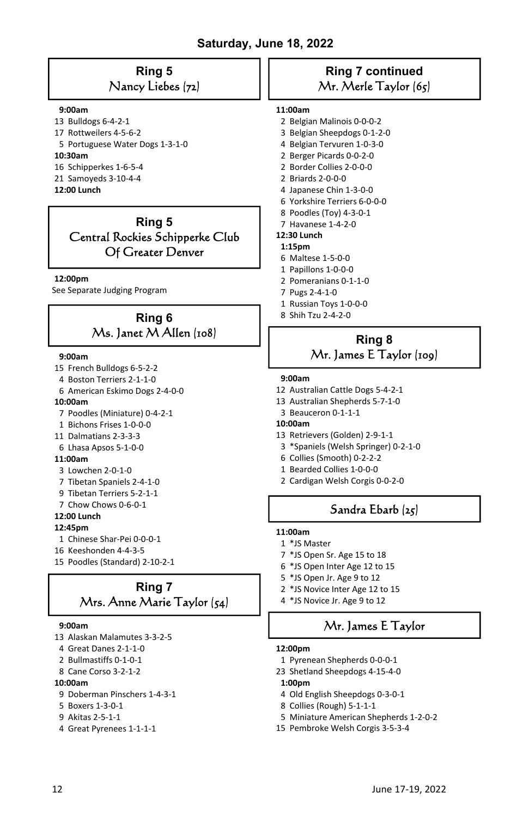## **Ring 5**  Nancy Liebes (72)

#### **9:00am**

- 13 Bulldogs 6-4-2-1
- 17 Rottweilers 4-5-6-2
- 5 Portuguese Water Dogs 1-3-1-0

#### **10:30am**

- 16 Schipperkes 1-6-5-4
- 21 Samoyeds 3-10-4-4

#### **12:00 Lunch**

## **Ring 5**  Central Rockies Schipperke Club Of Greater Denver

#### **12:00pm**

See Separate Judging Program

## **Ring 6**  Ms. Janet M Allen (108) **Ring 8**

#### **9:00am**

- 15 French Bulldogs 6-5-2-2
- 4 Boston Terriers 2-1-1-0
- 6 American Eskimo Dogs 2-4-0-0

#### **10:00am**

- 7 Poodles (Miniature) 0-4-2-1
- 1 Bichons Frises 1-0-0-0
- 11 Dalmatians 2-3-3-3
- 6 Lhasa Apsos 5-1-0-0

#### **11:00am**

- 3 Lowchen 2-0-1-0
- 7 Tibetan Spaniels 2-4-1-0
- 9 Tibetan Terriers 5-2-1-1
- 7 Chow Chows 0-6-0-1
- **12:00 Lunch**

#### **12:45pm**

- 1 Chinese Shar-Pei 0-0-0-1
- 16 Keeshonden 4-4-3-5
- 15 Poodles (Standard) 2-10-2-1

## **Ring 7**  Mrs. Anne Marie Taylor (54)

#### **9:00am**

- 13 Alaskan Malamutes 3-3-2-5
- 4 Great Danes 2-1-1-0
- 2 Bullmastiffs 0-1-0-1
- 8 Cane Corso 3-2-1-2
- **10:00am**
- 9 Doberman Pinschers 1-4-3-1
- 5 Boxers 1-3-0-1
- 9 Akitas 2-5-1-1
- 4 Great Pyrenees 1-1-1-1

## **Ring 7 continued**  Mr. Merle Taylor (65)

#### **11:00am**

- 2 Belgian Malinois 0-0-0-2
- 3 Belgian Sheepdogs 0-1-2-0
- 4 Belgian Tervuren 1-0-3-0
- 2 Berger Picards 0-0-2-0
- 2 Border Collies 2-0-0-0
- 2 Briards 2-0-0-0
- 4 Japanese Chin 1-3-0-0
- 6 Yorkshire Terriers 6-0-0-0
- 8 Poodles (Toy) 4-3-0-1 7 Havanese 1-4-2-0
- **12:30 Lunch**

- **1:15pm**  6 Maltese 1-5-0-0
- 1 Papillons 1-0-0-0
- 2 Pomeranians 0-1-1-0
- 7 Pugs 2-4-1-0
- 1 Russian Toys 1-0-0-0
- 8 Shih Tzu 2-4-2-0

## Mr. James E Taylor (109)

#### **9:00am**

- 12 Australian Cattle Dogs 5-4-2-1
- 13 Australian Shepherds 5-7-1-0
- 3 Beauceron 0-1-1-1

#### **10:00am**

- 13 Retrievers (Golden) 2-9-1-1
- 3 \*Spaniels (Welsh Springer) 0-2-1-0
- 6 Collies (Smooth) 0-2-2-2
- 1 Bearded Collies 1-0-0-0
- 2 Cardigan Welsh Corgis 0-0-2-0

## Sandra Ebarb (25)

- **11:00am**
- 1 \*JS Master
- 7 \*JS Open Sr. Age 15 to 18
- 6 \*JS Open Inter Age 12 to 15
- 5 \*JS Open Jr. Age 9 to 12
- 2 \*JS Novice Inter Age 12 to 15
- 4 \*JS Novice Jr. Age 9 to 12

## Mr. James E Taylor

#### **12:00pm**

- 1 Pyrenean Shepherds 0-0-0-1
- 23 Shetland Sheepdogs 4-15-4-0

#### **1:00pm**

- 4 Old English Sheepdogs 0-3-0-1
- 8 Collies (Rough) 5-1-1-1
- 5 Miniature American Shepherds 1-2-0-2
- 15 Pembroke Welsh Corgis 3-5-3-4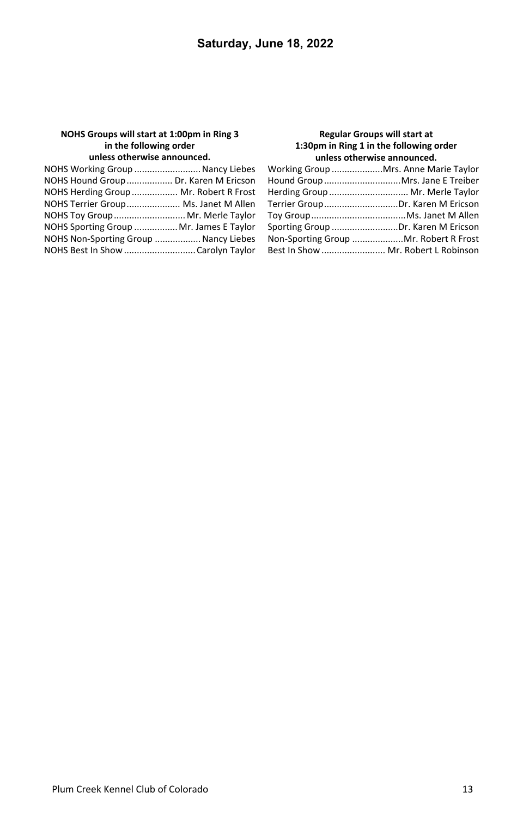#### **NOHS Groups will start at 1:00pm in Ring 3 in the following order unless otherwise announced.**

#### **Regular Groups will start at 1:30pm in Ring 1 in the following order unless otherwise announced.**

| NOHS Working Group  Nancy Liebes        |  |
|-----------------------------------------|--|
| NOHS Hound Group  Dr. Karen M Ericson   |  |
| NOHS Herding Group  Mr. Robert R Frost  |  |
| NOHS Terrier Group Ms. Janet M Allen    |  |
| NOHS Toy Group Mr. Merle Taylor         |  |
| NOHS Sporting Group  Mr. James E Taylor |  |
| NOHS Non-Sporting Group  Nancy Liebes   |  |
|                                         |  |

| Working Group Mrs. Anne Marie Taylor  |  |
|---------------------------------------|--|
| Hound Group Mrs. Jane E Treiber       |  |
| Herding Group  Mr. Merle Taylor       |  |
| Terrier GroupDr. Karen M Ericson      |  |
|                                       |  |
| Sporting Group Dr. Karen M Ericson    |  |
| Non-Sporting Group Mr. Robert R Frost |  |
| Best In Show  Mr. Robert L Robinson   |  |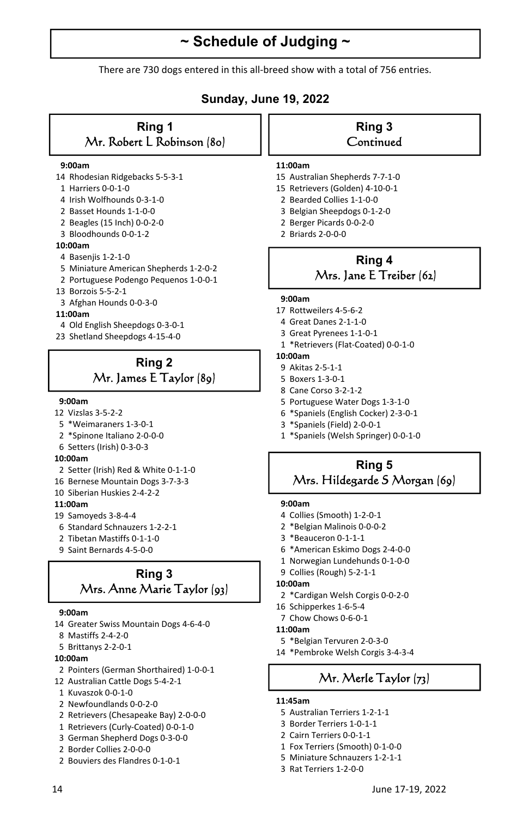## **~ Schedule of Judging ~**

There are 730 dogs entered in this all-breed show with a total of 756 entries.

## **Sunday, June 19, 2022**

#### **Ring 1**  Mr. Robert L Robinson (80)

#### **9:00am**

- 14 Rhodesian Ridgebacks 5-5-3-1
- 1 Harriers 0-0-1-0
- 4 Irish Wolfhounds 0-3-1-0
- 2 Basset Hounds 1-1-0-0
- 2 Beagles (15 Inch) 0-0-2-0
- 3 Bloodhounds 0-0-1-2

#### **10:00am**

- 4 Basenjis 1-2-1-0
- 5 Miniature American Shepherds 1-2-0-2
- 2 Portuguese Podengo Pequenos 1-0-0-1
- 13 Borzois 5-5-2-1
- 3 Afghan Hounds 0-0-3-0

#### **11:00am**

- 4 Old English Sheepdogs 0-3-0-1
- 23 Shetland Sheepdogs 4-15-4-0

## **Ring 2**  Mr. James E Taylor (89)

#### **9:00am**

- 12 Vizslas 3-5-2-2
- 5 \*Weimaraners 1-3-0-1
- 2 \*Spinone Italiano 2-0-0-0
- 6 Setters (Irish) 0-3-0-3

#### **10:00am**

- 2 Setter (Irish) Red & White 0-1-1-0
- 16 Bernese Mountain Dogs 3-7-3-3
- 10 Siberian Huskies 2-4-2-2

#### **11:00am**

- 19 Samoyeds 3-8-4-4
- 6 Standard Schnauzers 1-2-2-1
- 2 Tibetan Mastiffs 0-1-1-0
- 9 Saint Bernards 4-5-0-0

## **Ring 3**  Mrs. Anne Marie Taylor (93)

#### **9:00am**

- 14 Greater Swiss Mountain Dogs 4-6-4-0
- 8 Mastiffs 2-4-2-0
- 5 Brittanys 2-2-0-1

#### **10:00am**

- 2 Pointers (German Shorthaired) 1-0-0-1
- 12 Australian Cattle Dogs 5-4-2-1
- 1 Kuvaszok 0-0-1-0
- 2 Newfoundlands 0-0-2-0
- 2 Retrievers (Chesapeake Bay) 2-0-0-0
- 1 Retrievers (Curly-Coated) 0-0-1-0
- 3 German Shepherd Dogs 0-3-0-0
- 2 Border Collies 2-0-0-0
- 2 Bouviers des Flandres 0-1-0-1

#### **Ring 3 Continued**

#### **11:00am**

- 15 Australian Shepherds 7-7-1-0
- 15 Retrievers (Golden) 4-10-0-1
- 2 Bearded Collies 1-1-0-0
- 3 Belgian Sheepdogs 0-1-2-0
- 2 Berger Picards 0-0-2-0
- 2 Briards 2-0-0-0

## **Ring 4**  Mrs. Jane E Treiber (62)

#### **9:00am**

- 17 Rottweilers 4-5-6-2
- 4 Great Danes 2-1-1-0
- 3 Great Pyrenees 1-1-0-1
- 1 \*Retrievers (Flat-Coated) 0-0-1-0

#### **10:00am**

- 9 Akitas 2-5-1-1
- 5 Boxers 1-3-0-1
- 8 Cane Corso 3-2-1-2
- 5 Portuguese Water Dogs 1-3-1-0
- 6 \*Spaniels (English Cocker) 2-3-0-1
- 3 \*Spaniels (Field) 2-0-0-1
- 1 \*Spaniels (Welsh Springer) 0-0-1-0

### **Ring 5**  Mrs. Hildegarde S Morgan (69)

#### **9:00am**

- 4 Collies (Smooth) 1-2-0-1
- 2 \*Belgian Malinois 0-0-0-2
- 3 \*Beauceron 0-1-1-1
- 6 \*American Eskimo Dogs 2-4-0-0
- 1 Norwegian Lundehunds 0-1-0-0
- 9 Collies (Rough) 5-2-1-1

#### **10:00am**

- 2 \*Cardigan Welsh Corgis 0-0-2-0
- 16 Schipperkes 1-6-5-4
- 7 Chow Chows 0-6-0-1

#### **11:00am**

- 5 \*Belgian Tervuren 2-0-3-0
- 14 \*Pembroke Welsh Corgis 3-4-3-4

## Mr. Merle Taylor (73)

#### **11:45am**

- 5 Australian Terriers 1-2-1-1
- 3 Border Terriers 1-0-1-1
- 2 Cairn Terriers 0-0-1-1
- 1 Fox Terriers (Smooth) 0-1-0-0
- 5 Miniature Schnauzers 1-2-1-1
- 3 Rat Terriers 1-2-0-0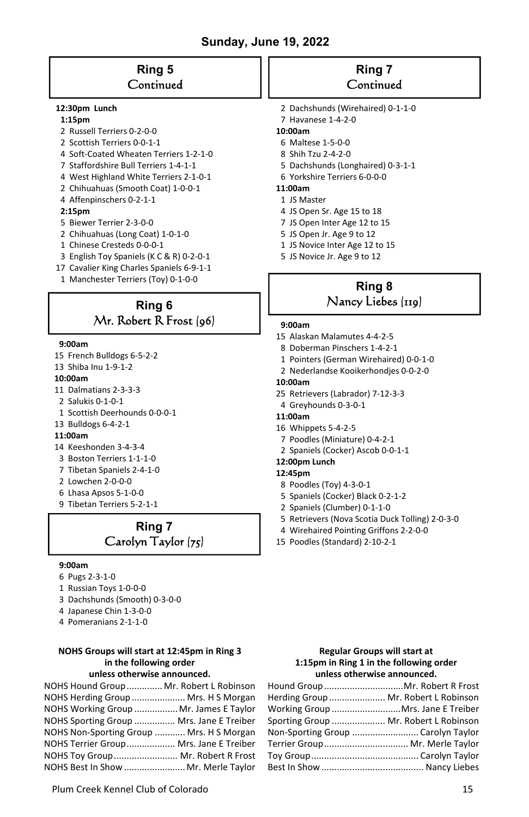## **Ring 5 Continued**

#### **12:30pm Lunch**

#### **1:15pm**

- 2 Russell Terriers 0-2-0-0
- 2 Scottish Terriers 0-0-1-1
- 4 Soft-Coated Wheaten Terriers 1-2-1-0
- 7 Staffordshire Bull Terriers 1-4-1-1
- 4 West Highland White Terriers 2-1-0-1
- 2 Chihuahuas (Smooth Coat) 1-0-0-1
- 4 Affenpinschers 0-2-1-1

#### **2:15pm**

- 5 Biewer Terrier 2-3-0-0
- 2 Chihuahuas (Long Coat) 1-0-1-0
- 1 Chinese Cresteds 0-0-0-1
- 3 English Toy Spaniels (K C & R) 0-2-0-1
- 17 Cavalier King Charles Spaniels 6-9-1-1
- 1 Manchester Terriers (Toy) 0-1-0-0

## **Ring 6**  Mr. Robert R Frost (96)

#### **9:00am**

- 15 French Bulldogs 6-5-2-2
- 13 Shiba Inu 1-9-1-2

#### **10:00am**

- 11 Dalmatians 2-3-3-3
- 2 Salukis 0-1-0-1
- 1 Scottish Deerhounds 0-0-0-1
- 13 Bulldogs 6-4-2-1

#### **11:00am**

- 14 Keeshonden 3-4-3-4
- 3 Boston Terriers 1-1-1-0
- 7 Tibetan Spaniels 2-4-1-0
- 2 Lowchen 2-0-0-0
- 6 Lhasa Apsos 5-1-0-0
- 9 Tibetan Terriers 5-2-1-1

## **Ring 7**  Carolyn Taylor (75)

#### **9:00am**

- 6 Pugs 2-3-1-0
- 1 Russian Toys 1-0-0-0
- 3 Dachshunds (Smooth) 0-3-0-0
- 4 Japanese Chin 1-3-0-0
- 4 Pomeranians 2-1-1-0

#### **NOHS Groups will start at 12:45pm in Ring 3 in the following order unless otherwise announced.**

| NOHS Hound Group Mr. Robert L Robinson   |  |
|------------------------------------------|--|
| NOHS Herding Group  Mrs. H S Morgan      |  |
| NOHS Working Group  Mr. James E Taylor   |  |
| NOHS Sporting Group  Mrs. Jane E Treiber |  |
| NOHS Non-Sporting Group  Mrs. H S Morgan |  |
| NOHS Terrier Group Mrs. Jane E Treiber   |  |
| NOHS Toy Group Mr. Robert R Frost        |  |
| NOHS Best In Show  Mr. Merle Taylor      |  |

## **Ring 7 Continued**

- 2 Dachshunds (Wirehaired) 0-1-1-0
- 7 Havanese 1-4-2-0
- **10:00am**
- 6 Maltese 1-5-0-0
- 8 Shih Tzu 2-4-2-0
- 5 Dachshunds (Longhaired) 0-3-1-1
- 6 Yorkshire Terriers 6-0-0-0

## **11:00am**

- 1 JS Master
- 4 JS Open Sr. Age 15 to 18
- 7 JS Open Inter Age 12 to 15
- 5 JS Open Jr. Age 9 to 12
- 1 JS Novice Inter Age 12 to 15
- 5 JS Novice Jr. Age 9 to 12

## **Ring 8**  Nancy Liebes (119)

#### **9:00am**

- 15 Alaskan Malamutes 4-4-2-5
- 8 Doberman Pinschers 1-4-2-1
- 1 Pointers (German Wirehaired) 0-0-1-0
- 2 Nederlandse Kooikerhondjes 0-0-2-0

#### **10:00am**

- 25 Retrievers (Labrador) 7-12-3-3
- 4 Greyhounds 0-3-0-1
- **11:00am**
- 16 Whippets 5-4-2-5
- 7 Poodles (Miniature) 0-4-2-1
- 2 Spaniels (Cocker) Ascob 0-0-1-1

### **12:00pm Lunch**

- **12:45pm** 
	- 8 Poodles (Toy) 4-3-0-1
- 5 Spaniels (Cocker) Black 0-2-1-2
- 2 Spaniels (Clumber) 0-1-1-0
- 5 Retrievers (Nova Scotia Duck Tolling) 2-0-3-0
- 4 Wirehaired Pointing Griffons 2-2-0-0
- 15 Poodles (Standard) 2-10-2-1

#### **Regular Groups will start at 1:15pm in Ring 1 in the following order unless otherwise announced.**

| Hound Group Mr. Robert R Frost        |
|---------------------------------------|
| Herding Group  Mr. Robert L Robinson  |
| Working Group Mrs. Jane E Treiber     |
| Sporting Group  Mr. Robert L Robinson |
| Non-Sporting Group  Carolyn Taylor    |
| Terrier Group Mr. Merle Taylor        |
|                                       |
|                                       |
|                                       |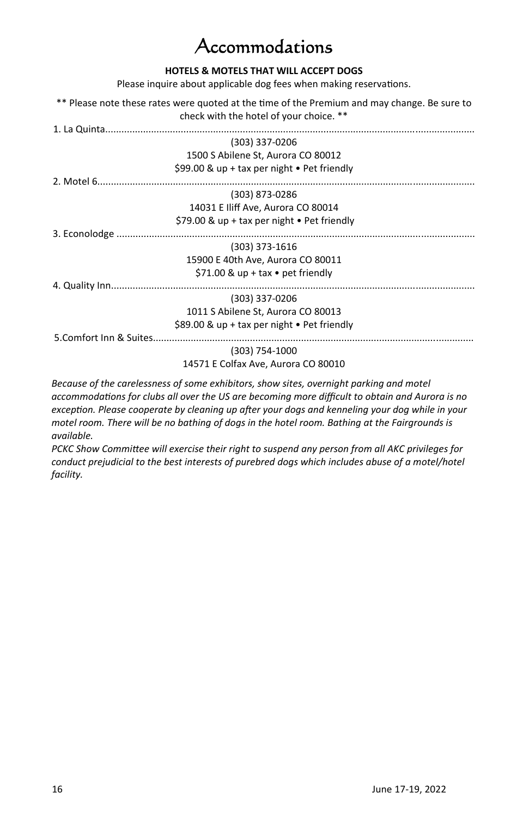## ccommodations

### **HOTELS & MOTELS THAT WILL ACCEPT DOGS**

Please inquire about applicable dog fees when making reservations.

\*\* Please note these rates were quoted at the time of the Premium and may change. Be sure to check with the hotel of your choice. \*\*

|                         | (303) 337-0206                                      |  |
|-------------------------|-----------------------------------------------------|--|
|                         | 1500 S Abilene St, Aurora CO 80012                  |  |
|                         | \$99.00 & up + tax per night $\bullet$ Pet friendly |  |
|                         |                                                     |  |
|                         | (303) 873-0286                                      |  |
|                         | 14031 E Iliff Ave, Aurora CO 80014                  |  |
|                         | \$79.00 & up + tax per night $\bullet$ Pet friendly |  |
| 3. Econolodge           |                                                     |  |
|                         | (303) 373-1616                                      |  |
|                         | 15900 E 40th Ave, Aurora CO 80011                   |  |
|                         | \$71.00 & up + tax $\bullet$ pet friendly           |  |
| 4. Quality Inn          |                                                     |  |
|                         | (303) 337-0206                                      |  |
|                         | 1011 S Abilene St, Aurora CO 80013                  |  |
|                         | \$89.00 & up + tax per night $\bullet$ Pet friendly |  |
| 5. Comfort Inn & Suites |                                                     |  |
|                         | (303) 754-1000                                      |  |
|                         | 14571 E Colfax Ave, Aurora CO 80010                 |  |
|                         |                                                     |  |

*Because of the carelessness of some exhibitors, show sites, overnight parking and motel accommodaƟons for clubs all over the US are becoming more difficult to obtain and Aurora is no exception. Please cooperate by cleaning up after your dogs and kenneling your dog while in your motel room. There will be no bathing of dogs in the hotel room. Bathing at the Fairgrounds is available.* 

*PCKC Show CommiƩee will exercise their right to suspend any person from all AKC privileges for conduct prejudicial to the best interests of purebred dogs which includes abuse of a motel/hotel facility.*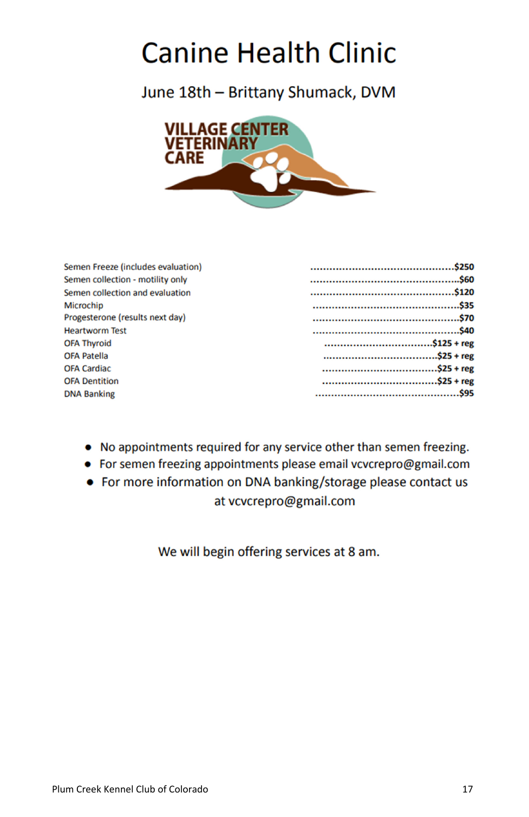## **Canine Health Clinic**

June 18th - Brittany Shumack, DVM



| Semen Freeze (includes evaluation) |  |
|------------------------------------|--|
| Semen collection - motility only   |  |
| Semen collection and evaluation    |  |
| <b>Microchip</b>                   |  |
| Progesterone (results next day)    |  |
| <b>Heartworm Test</b>              |  |
| <b>OFA Thyroid</b>                 |  |
| <b>OFA Patella</b>                 |  |
| <b>OFA Cardiac</b>                 |  |
| <b>OFA Dentition</b>               |  |
| <b>DNA Banking</b>                 |  |

- No appointments required for any service other than semen freezing.
- For semen freezing appointments please email vcvcrepro@gmail.com
- For more information on DNA banking/storage please contact us at vcvcrepro@gmail.com

We will begin offering services at 8 am.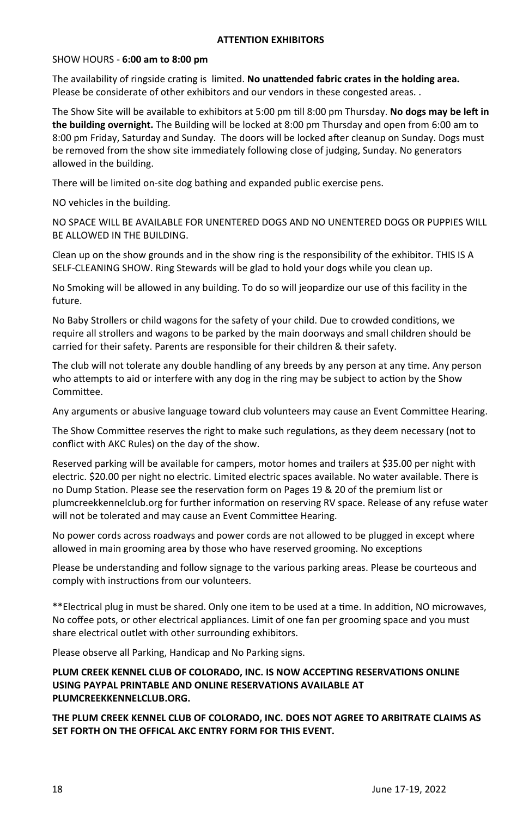#### **ATTENTION EXHIBITORS**

#### SHOW HOURS - **6:00 am to 8:00 pm**

The availability of ringside crating is limited. **No unattended fabric crates in the holding area.** Please be considerate of other exhibitors and our vendors in these congested areas. .

The Show Site will be available to exhibitors at 5:00 pm till 8:00 pm Thursday. No dogs may be left in **the building overnight.** The Building will be locked at 8:00 pm Thursday and open from 6:00 am to 8:00 pm Friday, Saturday and Sunday. The doors will be locked after cleanup on Sunday. Dogs must be removed from the show site immediately following close of judging, Sunday. No generators allowed in the building.

There will be limited on-site dog bathing and expanded public exercise pens.

NO vehicles in the building.

NO SPACE WILL BE AVAILABLE FOR UNENTERED DOGS AND NO UNENTERED DOGS OR PUPPIES WILL BE ALLOWED IN THE BUILDING.

Clean up on the show grounds and in the show ring is the responsibility of the exhibitor. THIS IS A SELF-CLEANING SHOW. Ring Stewards will be glad to hold your dogs while you clean up.

No Smoking will be allowed in any building. To do so will jeopardize our use of this facility in the future.

No Baby Strollers or child wagons for the safety of your child. Due to crowded conditions, we require all strollers and wagons to be parked by the main doorways and small children should be carried for their safety. Parents are responsible for their children & their safety.

The club will not tolerate any double handling of any breeds by any person at any time. Any person who attempts to aid or interfere with any dog in the ring may be subject to action by the Show Committee.

Any arguments or abusive language toward club volunteers may cause an Event Committee Hearing.

The Show Committee reserves the right to make such regulations, as they deem necessary (not to conflict with AKC Rules) on the day of the show.

Reserved parking will be available for campers, motor homes and trailers at \$35.00 per night with electric. \$20.00 per night no electric. Limited electric spaces available. No water available. There is no Dump Station. Please see the reservation form on Pages 19 & 20 of the premium list or plumcreekkennelclub.org for further information on reserving RV space. Release of any refuse water will not be tolerated and may cause an Event Committee Hearing.

No power cords across roadways and power cords are not allowed to be plugged in except where allowed in main grooming area by those who have reserved grooming. No exceptions

Please be understanding and follow signage to the various parking areas. Please be courteous and comply with instructions from our volunteers.

\*\*Electrical plug in must be shared. Only one item to be used at a time. In addition, NO microwaves, No coffee pots, or other electrical appliances. Limit of one fan per grooming space and you must share electrical outlet with other surrounding exhibitors.

Please observe all Parking, Handicap and No Parking signs.

**PLUM CREEK KENNEL CLUB OF COLORADO, INC. IS NOW ACCEPTING RESERVATIONS ONLINE USING PAYPAL PRINTABLE AND ONLINE RESERVATIONS AVAILABLE AT PLUMCREEKKENNELCLUB.ORG.** 

**THE PLUM CREEK KENNEL CLUB OF COLORADO, INC. DOES NOT AGREE TO ARBITRATE CLAIMS AS SET FORTH ON THE OFFICAL AKC ENTRY FORM FOR THIS EVENT.**